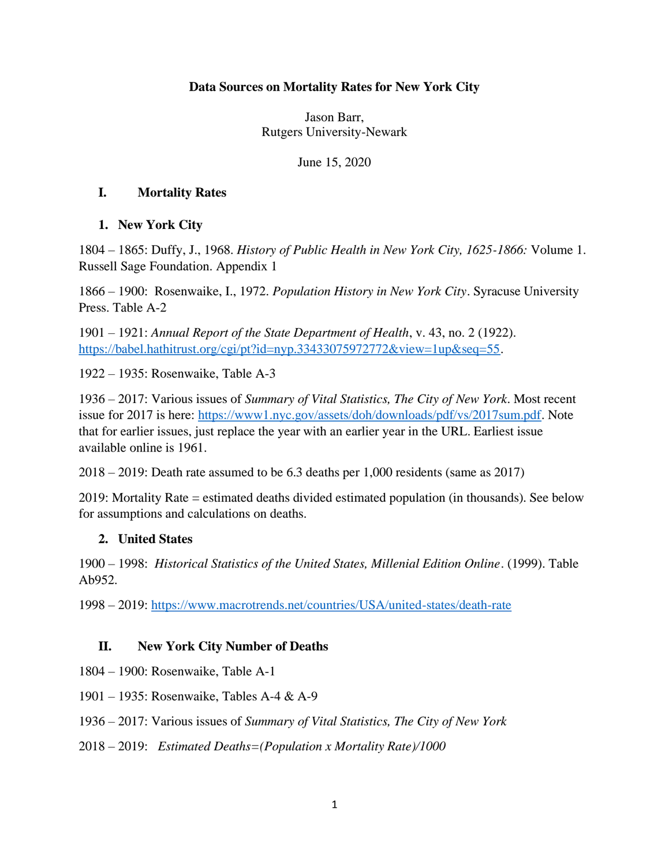### **Data Sources on Mortality Rates for New York City**

Jason Barr, Rutgers University-Newark

June 15, 2020

#### **I. Mortality Rates**

### **1. New York City**

1804 – 1865: Duffy, J., 1968. *History of Public Health in New York City, 1625-1866:* Volume 1. Russell Sage Foundation. Appendix 1

1866 – 1900: Rosenwaike, I., 1972. *Population History in New York City*. Syracuse University Press. Table A-2

1901 – 1921: *Annual Report of the State Department of Health*, v. 43, no. 2 (1922). [https://babel.hathitrust.org/cgi/pt?id=nyp.33433075972772&view=1up&seq=55.](https://babel.hathitrust.org/cgi/pt?id=nyp.33433075972772&view=1up&seq=55)

1922 – 1935: Rosenwaike, Table A-3

1936 – 2017: Various issues of *Summary of Vital Statistics, The City of New York*. Most recent issue for 2017 is here: [https://www1.nyc.gov/assets/doh/downloads/pdf/vs/2017sum.pdf.](https://www1.nyc.gov/assets/doh/downloads/pdf/vs/2017sum.pdf) Note that for earlier issues, just replace the year with an earlier year in the URL. Earliest issue available online is 1961.

2018 – 2019: Death rate assumed to be 6.3 deaths per 1,000 residents (same as 2017)

2019: Mortality Rate = estimated deaths divided estimated population (in thousands). See below for assumptions and calculations on deaths.

### **2. United States**

1900 – 1998: *Historical Statistics of the United States, Millenial Edition Online*. (1999). Table Ab952.

1998 – 2019:<https://www.macrotrends.net/countries/USA/united-states/death-rate>

### **II. New York City Number of Deaths**

- 1804 1900: Rosenwaike, Table A-1
- 1901 1935: Rosenwaike, Tables A-4 & A-9
- 1936 2017: Various issues of *Summary of Vital Statistics, The City of New York*
- 2018 2019: *Estimated Deaths=(Population x Mortality Rate)/1000*